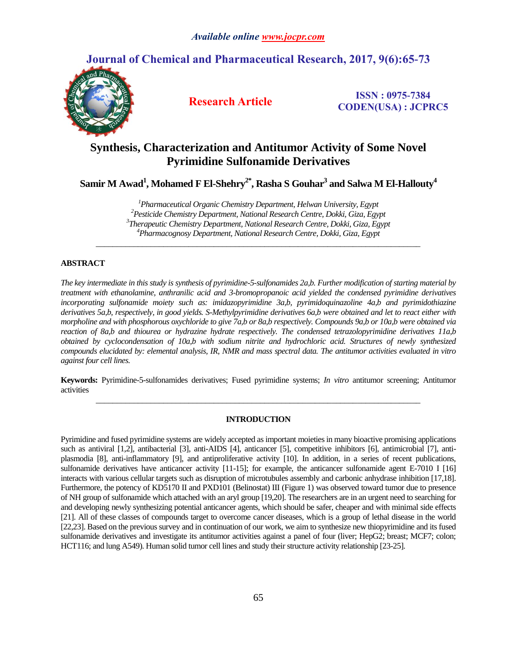# **Journal of Chemical and Pharmaceutical Research, 2017, 9(6):65-73**



**Research Article ISSN : 0975-7384 CODEN(USA) : JCPRC5**

# **Synthesis, Characterization and Antitumor Activity of Some Novel Pyrimidine Sulfonamide Derivatives**

**Samir M Awad<sup>1</sup> , Mohamed F El-Shehry2\* , Rasha S Gouhar<sup>3</sup> and Salwa M El-Hallouty<sup>4</sup>**

*Pharmaceutical Organic Chemistry Department, Helwan University, Egypt Pesticide Chemistry Department, National Research Centre, Dokki, Giza, Egypt Therapeutic Chemistry Department, National Research Centre, Dokki, Giza, Egypt Pharmacognosy Department, National Research Centre, Dokki, Giza, Egypt*

*\_\_\_\_\_\_\_\_\_\_\_\_\_\_\_\_\_\_\_\_\_\_\_\_\_\_\_\_\_\_\_\_\_\_\_\_\_\_\_\_\_\_\_\_\_\_\_\_\_\_\_\_\_\_\_\_\_\_\_\_\_\_\_\_\_\_\_\_\_\_\_\_\_\_\_\_\_*

# **ABSTRACT**

*The key intermediate in this study is synthesis of pyrimidine-5-sulfonamides 2a,b. Further modification of starting material by treatment with ethanolamine, anthranilic acid and 3-bromopropanoic acid yielded the condensed pyrimidine derivatives incorporating sulfonamide moiety such as: imidazopyrimidine 3a,b, pyrimidoquinazoline 4a,b and pyrimidothiazine derivatives 5a,b, respectively, in good yields. S-Methylpyrimidine derivatives 6a,b were obtained and let to react either with morpholine and with phosphorous oxychloride to give 7a,b or 8a,b respectively. Compounds 9a,b or 10a,b were obtained via reaction of 8a,b and thiourea or hydrazine hydrate respectively. The condensed tetrazolopyrimidine derivatives 11a,b obtained by cyclocondensation of 10a,b with sodium nitrite and hydrochloric acid. Structures of newly synthesized compounds elucidated by: elemental analysis, IR, NMR and mass spectral data. The antitumor activities evaluated in vitro against four cell lines.*

**Keywords:** Pyrimidine-5-sulfonamides derivatives; Fused pyrimidine systems; *In vitro* antitumor screening; Antitumor activities *\_\_\_\_\_\_\_\_\_\_\_\_\_\_\_\_\_\_\_\_\_\_\_\_\_\_\_\_\_\_\_\_\_\_\_\_\_\_\_\_\_\_\_\_\_\_\_\_\_\_\_\_\_\_\_\_\_\_\_\_\_\_\_\_\_\_\_\_\_\_\_\_\_\_\_\_\_*

# **INTRODUCTION**

Pyrimidine and fused pyrimidine systems are widely accepted as important moieties in many bioactive promising applications such as antiviral [1,2], antibacterial [3], anti-AIDS [4], anticancer [5], competitive inhibitors [6], antimicrobial [7], antiplasmodia [8], anti-inflammatory [9], and antiproliferative activity [10]. In addition, in a series of recent publications, sulfonamide derivatives have anticancer activity [11-15]; for example, the anticancer sulfonamide agent E-7010 I [16] interacts with various cellular targets such as disruption of microtubules assembly and carbonic anhydrase inhibition [17,18]. Furthermore, the potency of KD5170 II and PXD101 (Belinostat) III (Figure 1) was observed toward tumor due to presence of NH group of sulfonamide which attached with an aryl group [19,20]. The researchers are in an urgent need to searching for and developing newly synthesizing potential anticancer agents, which should be safer, cheaper and with minimal side effects [21]. All of these classes of compounds target to overcome cancer diseases, which is a group of lethal disease in the world [22,23]. Based on the previous survey and in continuation of our work, we aim to synthesize new thiopyrimidine and its fused sulfonamide derivatives and investigate its antitumor activities against a panel of four (liver; HepG2; breast; MCF7; colon; HCT116; and lung A549). Human solid tumor cell lines and study their structure activity relationship [23-25].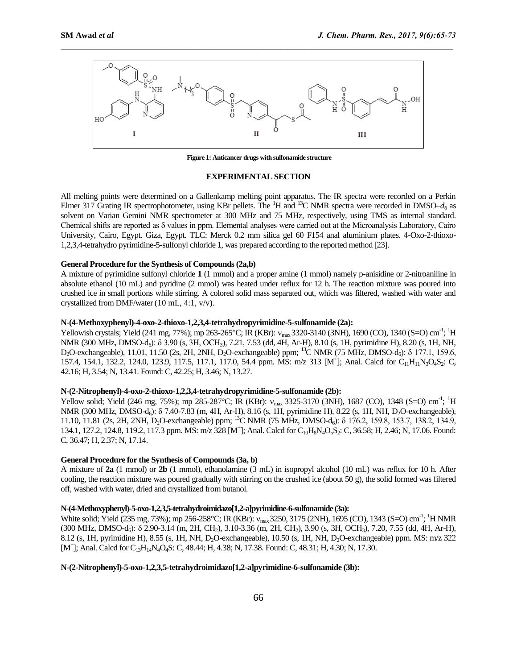

 $\mathcal{L}_\mathcal{L} = \mathcal{L}_\mathcal{L}$ 

**Figure 1: Anticancer drugs with sulfonamide structure**

# **EXPERIMENTAL SECTION**

All melting points were determined on a Gallenkamp melting point apparatus. The IR spectra were recorded on a Perkin Elmer 317 Grating IR spectrophotometer, using KBr pellets. The <sup>1</sup>H and <sup>13</sup>C NMR spectra were recorded in DMSO– $d_6$  as solvent on Varian Gemini NMR spectrometer at 300 MHz and 75 MHz, respectively, using TMS as internal standard. Chemical shifts are reported as δ values in ppm. Elemental analyses were carried out at the Microanalysis Laboratory, Cairo University, Cairo, Egypt. Giza, Egypt. TLC: Merck 0.2 mm silica gel 60 F154 anal aluminium plates. 4-Oxo-2-thioxo-1,2,3,4-tetrahydro pyrimidine-5-sulfonyl chloride **1**, was prepared according to the reported method [23].

# **General Procedure for the Synthesis of Compounds (2a,b)**

A mixture of pyrimidine sulfonyl chloride **1** (1 mmol) and a proper amine (1 mmol) namely p-anisidine or 2-nitroaniline in absolute ethanol (10 mL) and pyridine (2 mmol) was heated under reflux for 12 h. The reaction mixture was poured into crushed ice in small portions while stirring. A colored solid mass separated out, which was filtered, washed with water and crystallized from DMF/water (10 mL, 4:1, v/v).

#### **N-(4-Methoxyphenyl)-4-oxo-2-thioxo-1,2,3,4-tetrahydropyrimidine-5-sulfonamide (2a):**

Yellowish crystals; Yield (241 mg, 77%); mp 263-265°C; IR (KBr):  $v_{max}$ 3320-3140 (3NH), 1690 (CO), 1340 (S=O) cm<sup>-1</sup>; <sup>1</sup>H NMR (300 MHz, DMSO-d6): δ 3.90 (s, 3H, OCH3), 7.21, 7.53 (dd, 4H, Ar-H), 8.10 (s, 1H, pyrimidine H), 8.20 (s, 1H, NH, D<sub>2</sub>O-exchangeable), 11.01, 11.50 (2s, 2H, 2NH, D<sub>2</sub>O-exchangeable) ppm; <sup>13</sup>C NMR (75 MHz, DMSO-d<sub>6</sub>): δ 177.1, 159.6, 157.4, 154.1, 132.2, 124.0, 123.9, 117.5, 117.1, 117.0, 54.4 ppm. MS: m/z 313 [M<sup>+</sup>]; Anal. Calcd for C<sub>11</sub>H<sub>11</sub>N<sub>3</sub>O<sub>4</sub>S<sub>2</sub>: C, 42.16; H, 3.54; N, 13.41. Found: C, 42.25; H, 3.46; N, 13.27.

### **N-(2-Nitrophenyl)-4-oxo-2-thioxo-1,2,3,4-tetrahydropyrimidine-5-sulfonamide (2b):**

Yellow solid; Yield (246 mg, 75%); mp 285-287°C; IR (KBr):  $v_{max}$  3325-3170 (3NH), 1687 (CO), 1348 (S=O) cm<sup>-1</sup>; <sup>1</sup>H NMR (300 MHz, DMSO-d<sub>6</sub>): δ 7.40-7.83 (m, 4H, Ar-H), 8.16 (s, 1H, pyrimidine H), 8.22 (s, 1H, NH, D<sub>2</sub>O-exchangeable), 11.10, 11.81 (2s, 2H, 2NH, D2O-exchangeable) ppm; <sup>13</sup>C NMR (75 MHz, DMSO-d6): δ 176.2, 159.8, 153.7, 138.2, 134.9, 134.1, 127.2, 124.8, 119.2, 117.3 ppm. MS: m/z 328 [M<sup>+</sup>]; Anal. Calcd for C<sub>10</sub>H<sub>8</sub>N<sub>4</sub>O<sub>5</sub>S<sub>2</sub>: C, 36.58; H, 2.46; N, 17.06. Found: C, 36.47; H, 2.37; N, 17.14.

# **General Procedure for the Synthesis of Compounds (3a, b)**

A mixture of **2a** (1 mmol) or **2b** (1 mmol), ethanolamine (3 mL) in isopropyl alcohol (10 mL) was reflux for 10 h. After cooling, the reaction mixture was poured gradually with stirring on the crushed ice (about 50 g), the solid formed was filtered off, washed with water, dried and crystallized from butanol.

#### **N-(4-Methoxyphenyl)-5-oxo-1,2,3,5-tetrahydroimidazo[1,2-a]pyrimidine-6-sulfonamide (3a):**

White solid; Yield (235 mg, 73%); mp 256-258°C; IR (KBr):  $v_{max}$ 3250, 3175 (2NH), 1695 (CO), 1343 (S=O) cm<sup>-1</sup>; <sup>1</sup>H NMR (300 MHz, DMSO-d6): δ 2.90-3.14 (m, 2H, CH2), 3.10-3.36 (m, 2H, CH2), 3.90 (s, 3H, OCH3), 7.20, 7.55 (dd, 4H, Ar-H), 8.12 (s, 1H, pyrimidine H), 8.55 (s, 1H, NH, D<sub>2</sub>O-exchangeable), 10.50 (s, 1H, NH, D<sub>2</sub>O-exchangeable) ppm. MS: m/z 322 [M<sup>+</sup>]; Anal. Calcd for C<sub>13</sub>H<sub>14</sub>N<sub>4</sub>O<sub>4</sub>S: C, 48.44; H, 4.38; N, 17.38. Found: C, 48.31; H, 4.30; N, 17.30.

#### **N-(2-Nitrophenyl)-5-oxo-1,2,3,5-tetrahydroimidazo[1,2-a]pyrimidine-6-sulfonamide (3b):**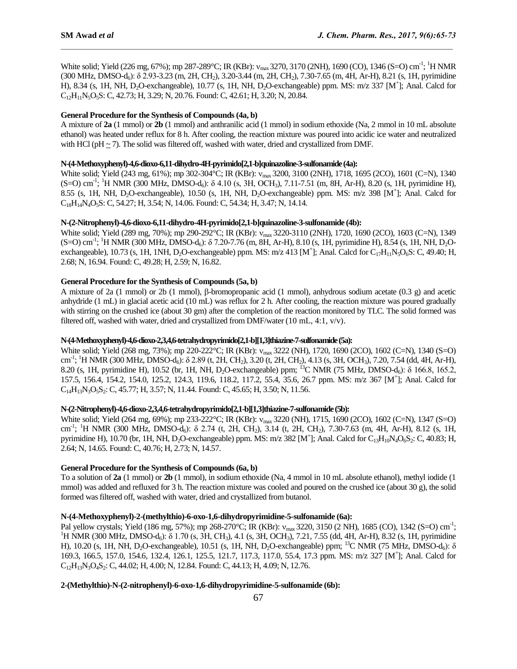White solid; Yield (226 mg, 67%); mp 287-289°C; IR (KBr): v<sub>max</sub> 3270, 3170 (2NH), 1690 (CO), 1346 (S=O) cm<sup>-1</sup>; <sup>1</sup>H NMR (300 MHz, DMSO-d<sub>6</sub>): δ 2.93-3.23 (m, 2H, CH<sub>2</sub>), 3.20-3.44 (m, 2H, CH<sub>2</sub>), 7.30-7.65 (m, 4H, Ar-H), 8.21 (s, 1H, pyrimidine H), 8.34 (s, 1H, NH, D<sub>2</sub>O-exchangeable), 10.77 (s, 1H, NH, D<sub>2</sub>O-exchangeable) ppm. MS: m/z 337 [M<sup>+</sup>]; Anal. Calcd for  $C_{12}H_{11}N_5O_5S$ : C, 42.73; H, 3.29; N, 20.76. Found: C, 42.61; H, 3.20; N, 20.84.

 $\mathcal{L}_\mathcal{L} = \mathcal{L}_\mathcal{L}$ 

### **General Procedure for the Synthesis of Compounds (4a, b)**

A mixture of **2a** (1 mmol) or **2b** (1 mmol) and anthranilic acid (1 mmol) in sodium ethoxide (Na, 2 mmol in 10 mL absolute ethanol) was heated under reflux for 8 h. After cooling, the reaction mixture was poured into acidic ice water and neutralized with HCl (pH ~ 7). The solid was filtered off, washed with water, dried and crystallized from DMF.

## **N-(4-Methoxyphenyl)-4,6-dioxo-6,11-dihydro-4H-pyrimido[2,1-b]quinazoline-3-sulfonamide(4a):**

White solid; Yield (243 mg, 61%); mp 302-304°C; IR (KBr): v<sub>max</sub> 3200, 3100 (2NH), 1718, 1695 (2CO), 1601 (C=N), 1340 (S=O) cm<sup>-1</sup>; <sup>1</sup>H NMR (300 MHz, DMSO-d<sub>6</sub>): δ 4.10 (s, 3H, OCH<sub>3</sub>), 7.11-7.51 (m, 8H, Ar-H), 8.20 (s, 1H, pyrimidine H), 8.55 (s, 1H, NH, D<sub>2</sub>O-exchangeable), 10.50 (s, 1H, NH, D<sub>2</sub>O-exchangeable) ppm. MS: m/z 398 [M<sup>+</sup>]; Anal. Calcd for  $C_{18}H_{14}N_4O_5S$ : C, 54.27; H, 3.54; N, 14.06. Found: C, 54.34; H, 3.47; N, 14.14.

### **N-(2-Nitrophenyl)-4,6-dioxo-6,11-dihydro-4H-pyrimido[2,1-b]quinazoline-3-sulfonamide (4b):**

White solid; Yield (289 mg, 70%); mp 290-292°C; IR (KBr): v<sub>max</sub> 3220-3110 (2NH), 1720, 1690 (2CO), 1603 (C=N), 1349  $(S=O)$  cm<sup>-1</sup>; <sup>1</sup>H NMR (300 MHz, DMSO-d<sub>6</sub>): δ 7.20-7.76 (m, 8H, Ar-H), 8.10 (s, 1H, pyrimidine H), 8.54 (s, 1H, NH, D<sub>2</sub>Oexchangeable), 10.73 (s, 1H, 1NH, D<sub>2</sub>O-exchangeable) ppm. MS: m/z 413 [M<sup>+</sup>]; Anal. Calcd for C<sub>17</sub>H<sub>11</sub>N<sub>5</sub>O<sub>6</sub>S: C, 49.40; H, 2.68; N, 16.94. Found: C, 49.28; H, 2.59; N, 16.82.

### **General Procedure for the Synthesis of Compounds (5a, b)**

A mixture of 2a (1 mmol) or 2b (1 mmol),  $\beta$ -bromopropanic acid (1 mmol), anhydrous sodium acetate (0.3 g) and acetic anhydride (1 mL) in glacial acetic acid (10 mL) was reflux for 2 h. After cooling, the reaction mixture was poured gradually with stirring on the crushed ice (about 30 gm) after the completion of the reaction monitored by TLC. The solid formed was filtered off, washed with water, dried and crystallized from DMF/water (10 mL, 4:1, v/v).

## **N-(4-Methoxyphenyl)-4,6-dioxo-2,3,4,6-tetrahydropyrimido[2,1-b][1,3]thiazine-7-sulfonamide(5a):**

White solid; Yield (268 mg, 73%); mp 220-222°C; IR (KBr): v<sub>max</sub> 3222 (NH), 1720, 1690 (2CO), 1602 (C=N), 1340 (S=O) cm<sup>-1</sup>; <sup>1</sup>H NMR (300 MHz, DMSO-d<sub>6</sub>): δ 2.89 (t, 2H, CH<sub>2</sub>), 3.20 (t, 2H, CH<sub>2</sub>), 4.13 (s, 3H, OCH<sub>3</sub>), 7.20, 7.54 (dd, 4H, Ar-H), 8.20 (s, 1H, pyrimidine H), 10.52 (br, 1H, NH, D<sub>2</sub>O-exchangeable) ppm; <sup>13</sup>C NMR (75 MHz, DMSO-d<sub>6</sub>): δ 166.8, 165.2, 157.5, 156.4, 154.2, 154.0, 125.2, 124.3, 119.6, 118.2, 117.2, 55.4, 35.6, 26.7 ppm. MS: m/z 367 [M<sup>+</sup> ]; Anal. Calcd for  $C_{14}H_{13}N_3O_5S_2$ : C, 45.77; H, 3.57; N, 11.44. Found: C, 45.65; H, 3.50; N, 11.56.

# **N-(2-Nitrophenyl)-4,6-dioxo-2,3,4,6-tetrahydropyrimido[2,1-b][1,3]thiazine-7-sulfonamide(5b):**

White solid; Yield (264 mg, 69%); mp 233-222°C; IR (KBr): v<sub>max</sub> 3220 (NH), 1715, 1690 (2CO), 1602 (C=N), 1347 (S=O) cm<sup>-1</sup>; <sup>1</sup>H NMR (300 MHz, DMSO-d<sub>6</sub>): δ 2.74 (t, 2H, CH<sub>2</sub>), 3.14 (t, 2H, CH<sub>2</sub>), 7.30-7.63 (m, 4H, Ar-H), 8.12 (s, 1H, pyrimidine H), 10.70 (br, 1H, NH, D<sub>2</sub>O-exchangeable) ppm. MS: m/z 382 [M<sup>+</sup>]; Anal. Calcd for C<sub>13</sub>H<sub>10</sub>N<sub>4</sub>O<sub>6</sub>S<sub>2</sub>: C, 40.83; H, 2.64; N, 14.65. Found: C, 40.76; H, 2.73; N, 14.57.

### **General Procedure for the Synthesis of Compounds (6a, b)**

To a solution of **2a** (1 mmol) or **2b** (1 mmol), in sodium ethoxide (Na, 4 mmol in 10 mL absolute ethanol), methyl iodide (1 mmol) was added and refluxed for 3 h. The reaction mixture was cooled and poured on the crushed ice (about 30 g), the solid formed was filtered off, washed with water, dried and crystallized from butanol.

### **N-(4-Methoxyphenyl)-2-(methylthio)-6-oxo-1,6-dihydropyrimidine-5-sulfonamide (6a):**

Pal yellow crystals; Yield (186 mg, 57%); mp 268-270°C; IR (KBr): v<sub>max</sub> 3220, 3150 (2 NH), 1685 (CO), 1342 (S=O) cm<sup>-1</sup>; <sup>1</sup>H NMR (300 MHz, DMSO-d<sub>6</sub>): δ 1.70 (s, 3H, CH<sub>3</sub>), 4.1 (s, 3H, OCH<sub>3</sub>), 7.21, 7.55 (dd, 4H, Ar-H), 8.32 (s, 1H, pyrimidine H), 10.20 (s, 1H, NH, D<sub>2</sub>O-exchangeable), 10.51 (s, 1H, NH, D<sub>2</sub>O-exchangeable) ppm; <sup>13</sup>C NMR (75 MHz, DMSO-d<sub>6</sub>): δ 169.3, 166.5, 157.0, 154.6, 132.4, 126.1, 125.5, 121.7, 117.3, 117.0, 55.4, 17.3 ppm. MS: m/z 327 [M<sup>+</sup> ]; Anal. Calcd for  $C_{12}H_{13}N_3O_4S_2$ : C, 44.02; H, 4.00; N, 12.84. Found: C, 44.13; H, 4.09; N, 12.76.

# **2-(Methylthio)-N-(2-nitrophenyl)-6-oxo-1,6-dihydropyrimidine-5-sulfonamide (6b):**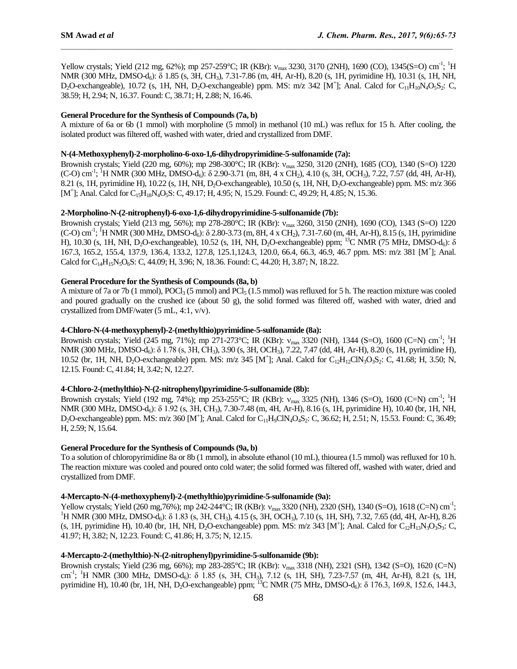Yellow crystals; Yield (212 mg, 62%); mp 257-259°C; IR (KBr):  $v_{max}$  3230, 3170 (2NH), 1690 (CO), 1345(S=O) cm<sup>-1</sup>; <sup>1</sup>H NMR (300 MHz, DMSO-d<sub>6</sub>): δ 1.85 (s, 3H, CH<sub>3</sub>), 7.31-7.86 (m, 4H, Ar-H), 8.20 (s, 1H, pyrimidine H), 10.31 (s, 1H, NH,  $D_2O$ -exchangeable), 10.72 (s, 1H, NH,  $D_2O$ -exchangeable) ppm. MS: m/z 342 [M<sup>+</sup>]; Anal. Calcd for C<sub>11</sub>H<sub>10</sub>N<sub>4</sub>O<sub>5</sub>S<sub>2</sub>: C, 38.59; H, 2.94; N, 16.37. Found: C, 38.71; H, 2.88; N, 16.46.

 $\mathcal{L}_\mathcal{L} = \mathcal{L}_\mathcal{L}$ 

# **General Procedure for the Synthesis of Compounds (7a, b)**

A mixture of 6a or 6b (1 mmol) with morpholine (5 mmol) in methanol (10 mL) was reflux for 15 h. After cooling, the isolated product was filtered off, washed with water, dried and crystallized from DMF.

### **N-(4-Methoxyphenyl)-2-morpholino-6-oxo-1,6-dihydropyrimidine-5-sulfonamide (7a):**

Brownish crystals; Yield (220 mg, 60%); mp 298-300°C; IR (KBr): v<sub>max</sub> 3250, 3120 (2NH), 1685 (CO), 1340 (S=O) 1220 (C-O) cm<sup>-1</sup>; <sup>1</sup>H NMR (300 MHz, DMSO-d<sub>6</sub>): δ 2.90-3.71 (m, 8H, 4 x CH<sub>2</sub>), 4.10 (s, 3H, OCH<sub>3</sub>), 7.22, 7.57 (dd, 4H, Ar-H), 8.21 (s, 1H, pyrimidine H), 10.22 (s, 1H, NH, D2O-exchangeable), 10.50 (s, 1H, NH, D2O-exchangeable) ppm. MS: m/z 366 [M<sup>+</sup>]; Anal. Calcd for C<sub>15</sub>H<sub>18</sub>N<sub>4</sub>O<sub>5</sub>S: C, 49.17; H, 4.95; N, 15.29. Found: C, 49.29; H, 4.85; N, 15.36.

### **2-Morpholino-N-(2-nitrophenyl)-6-oxo-1,6-dihydropyrimidine-5-sulfonamide (7b):**

Brownish crystals; Yield (213 mg, 56%); mp 278-280°C; IR (KBr): v<sub>max</sub> 3260, 3150 (2NH), 1690 (CO), 1343 (S=O) 1220 (C-O) cm<sup>-1</sup>; <sup>1</sup>H NMR (300 MHz, DMSO-d<sub>6</sub>): δ 2.80-3.73 (m, 8H, 4 x CH<sub>2</sub>), 7.31-7.60 (m, 4H, Ar-H), 8.15 (s, 1H, pyrimidine H), 10.30 (s, 1H, NH, D<sub>2</sub>O-exchangeable), 10.52 (s, 1H, NH, D<sub>2</sub>O-exchangeable) ppm; <sup>13</sup>C NMR (75 MHz, DMSO-d<sub>6</sub>): δ 167.3, 165.2, 155.4, 137.9, 136.4, 133.2, 127.8, 125.1,124.3, 120.0, 66.4, 66.3, 46.9, 46.7 ppm. MS: m/z 381 [M<sup>+</sup> ]; Anal. Calcd for  $C_{14}H_{15}N_5O_6S$ : C, 44.09; H, 3.96; N, 18.36. Found: C, 44.20; H, 3.87; N, 18.22.

# **General Procedure for the Synthesis of Compounds (8a, b)**

A mixture of 7a or 7b (1 mmol),  $POCl_3$  (5 mmol) and  $PCl_5$  (1.5 mmol) was refluxed for 5 h. The reaction mixture was cooled and poured gradually on the crushed ice (about 50 g), the solid formed was filtered off, washed with water, dried and crystallized from DMF/water (5 mL, 4:1, v/v).

### **4-Chloro-N-(4-methoxyphenyl)-2-(methylthio)pyrimidine-5-sulfonamide (8a):**

Brownish crystals; Yield (245 mg, 71%); mp 271-273°C; IR (KBr): v<sub>max</sub> 3320 (NH), 1344 (S=O), 1600 (C=N) cm<sup>-1</sup>; <sup>1</sup>H NMR (300 MHz, DMSO-d<sub>6</sub>): δ 1.78 (s, 3H, CH<sub>3</sub>), 3.90 (s, 3H, OCH<sub>3</sub>), 7.22, 7.47 (dd, 4H, Ar-H), 8.20 (s, 1H, pyrimidine H), 10.52 (br, 1H, NH, D<sub>2</sub>O-exchangeable) ppm. MS: m/z 345 [M<sup>+</sup>]; Anal. Calcd for C<sub>12</sub>H<sub>12</sub>ClN<sub>3</sub>O<sub>3</sub>S<sub>2</sub>: C, 41.68; H, 3.50; N, 12.15. Found: C, 41.84; H, 3.42; N, 12.27.

#### **4-Chloro-2-(methylthio)-N-(2-nitrophenyl)pyrimidine-5-sulfonamide (8b):**

Brownish crystals; Yield (192 mg, 74%); mp 253-255°C; IR (KBr):  $v_{max}$  3325 (NH), 1346 (S=O), 1600 (C=N) cm<sup>-1</sup>; <sup>1</sup>H NMR (300 MHz, DMSO-d<sub>6</sub>): δ 1.92 (s, 3H, CH<sub>3</sub>), 7.30-7.48 (m, 4H, Ar-H), 8.16 (s, 1H, pyrimidine H), 10.40 (br, 1H, NH,  $D_2O$ -exchangeable) ppm. MS: m/z 360 [M<sup>+</sup>]; Anal. Calcd for  $C_{11}H_9CN_4O_4S_2$ : C, 36.62; H, 2.51; N, 15.53. Found: C, 36.49; H, 2.59; N, 15.64.

### **General Procedure for the Synthesis of Compounds (9a, b)**

To a solution of chloropyrimidine 8a or 8b (1 mmol), in absolute ethanol (10 mL), thiourea (1.5 mmol) was refluxed for 10 h. The reaction mixture was cooled and poured onto cold water; the solid formed was filtered off, washed with water, dried and crystallized from DMF.

### **4-Mercapto-N-(4-methoxyphenyl)-2-(methylthio)pyrimidine-5-sulfonamide (9a):**

Yellow crystals; Yield (260 mg, 76%); mp 242-244°C; IR (KBr):  $v_{\text{max}}$  3320 (NH), 2320 (SH), 1340 (S=O), 1618 (C=N) cm<sup>-1</sup>; <sup>1</sup>H NMR (300 MHz, DMSO-d<sub>6</sub>): δ 1.83 (s, 3H, CH<sub>3</sub>), 4.15 (s, 3H, OCH<sub>3</sub>), 7.10 (s, 1H, SH), 7.32, 7.65 (dd, 4H, Ar-H), 8.26 (s, 1H, pyrimidine H), 10.40 (br, 1H, NH, D<sub>2</sub>O-exchangeable) ppm. MS: m/z 343 [M<sup>+</sup>]; Anal. Calcd for C<sub>12</sub>H<sub>13</sub>N<sub>3</sub>O<sub>3</sub>S<sub>3</sub>: C, 41.97; H, 3.82; N, 12.23. Found: C, 41.86; H, 3.75; N, 12.15.

#### **4-Mercapto-2-(methylthio)-N-(2-nitrophenyl)pyrimidine-5-sulfonamide (9b):**

Brownish crystals; Yield (236 mg, 66%); mp 283-285°C; IR (KBr): max 3318 (NH), 2321 (SH), 1342 (S=O), 1620 (C=N) cm<sup>-1</sup>; <sup>1</sup>H NMR (300 MHz, DMSO-d<sub>6</sub>): δ 1.85 (s, 3H, CH<sub>3</sub>), 7.12 (s, 1H, SH), 7.23-7.57 (m, 4H, Ar-H), 8.21 (s, 1H, pyrimidine H), 10.40 (br, 1H, NH, D<sub>2</sub>O-exchangeable) ppm; <sup>13</sup>C NMR (75 MHz, DMSO-d<sub>6</sub>): δ 176.3, 169.8, 152.6, 144.3,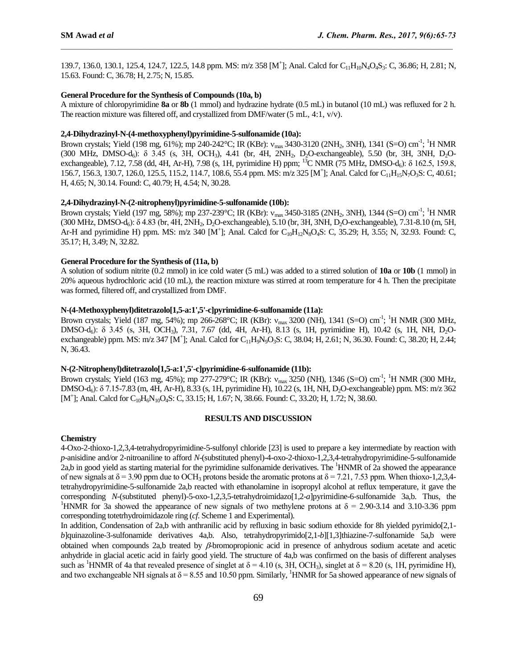139.7, 136.0, 130.1, 125.4, 124.7, 122.5, 14.8 ppm. MS: m/z 358 [M<sup>+</sup>]; Anal. Calcd for C<sub>11</sub>H<sub>10</sub>N<sub>4</sub>O<sub>4</sub>S<sub>3</sub>: C, 36.86; H, 2.81; N, 15.63. Found: C, 36.78; H, 2.75; N, 15.85.

 $\mathcal{L}_\mathcal{L} = \mathcal{L}_\mathcal{L}$ 

### **General Procedure for the Synthesis of Compounds (10a, b)**

A mixture of chloropyrimidine **8a** or **8b** (1 mmol) and hydrazine hydrate (0.5 mL) in butanol (10 mL) was refluxed for 2 h. The reaction mixture was filtered off, and crystallized from DMF/water (5 mL, 4:1, v/v).

# **2,4-Dihydrazinyl-N-(4-methoxyphenyl)pyrimidine-5-sulfonamide (10a):**

Brown crystals; Yield (198 mg, 61%); mp 240-242°C; IR (KBr):  $v_{max}$ 3430-3120 (2NH<sub>2</sub>, 3NH), 1341 (S=O) cm<sup>-1</sup>; <sup>1</sup>H NMR  $(300 \text{ MHz}, \text{ DMSO-d}_6)$ : δ 3.45 (s, 3H, OCH<sub>3</sub>), 4.41 (br, 4H, 2NH<sub>2</sub>, D<sub>2</sub>O-exchangeable), 5.50 (br, 3H, 3NH, D<sub>2</sub>Oexchangeable), 7.12, 7.58 (dd, 4H, Ar-H), 7.98 (s, 1H, pyrimidine H) ppm; <sup>13</sup>C NMR (75 MHz, DMSO-d<sub>6</sub>): δ 162.5, 159.8, 156.7, 156.3, 130.7, 126.0, 125.5, 115.2, 114.7, 108.6, 55.4 ppm. MS: m/z 325 [M<sup>+</sup>]; Anal. Calcd for C<sub>11</sub>H<sub>15</sub>N<sub>7</sub>O<sub>3</sub>S: C, 40.61; H, 4.65; N, 30.14. Found: C, 40.79; H, 4.54; N, 30.28.

### **2,4-Dihydrazinyl-N-(2-nitrophenyl)pyrimidine-5-sulfonamide (10b):**

Brown crystals; Yield (197 mg, 58%); mp 237-239°C; IR (KBr):  $v_{max}$ 3450-3185 (2NH<sub>2</sub>, 3NH), 1344 (S=O) cm<sup>-1</sup>; <sup>1</sup>H NMR (300 MHz, DMSO-d<sub>6</sub>):  $\delta$  4.83 (br, 4H, 2NH<sub>2</sub>, D<sub>2</sub>O-exchangeable), 5.10 (br, 3H, 3NH, D<sub>2</sub>O-exchangeable), 7.31-8.10 (m, 5H, Ar-H and pyrimidine H) ppm. MS:  $m/z$  340 [M<sup>+</sup>]; Anal. Calcd for C<sub>10</sub>H<sub>12</sub>N<sub>8</sub>O<sub>4</sub>S: C, 35.29; H, 3.55; N, 32.93. Found: C, 35.17; H, 3.49; N, 32.82.

# **General Procedure for the Synthesis of (11a, b)**

A solution of sodium nitrite (0.2 mmol) in ice cold water (5 mL) was added to a stirred solution of **10a** or **10b** (1 mmol) in 20% aqueous hydrochloric acid (10 mL), the reaction mixture was stirred at room temperature for 4 h. Then the precipitate was formed, filtered off, and crystallized from DMF.

# **N-(4-Methoxyphenyl)ditetrazolo[1,5-a:1',5'-c]pyrimidine-6-sulfonamide (11a):**

Brown crystals; Yield (187 mg, 54%); mp 266-268°C; IR (KBr): v<sub>max</sub> 3200 (NH), 1341 (S=O) cm<sup>-1</sup>; <sup>1</sup>H NMR (300 MHz, DMSO-d<sub>6</sub>): δ 3.45 (s, 3H, OCH<sub>3</sub>), 7.31, 7.67 (dd, 4H, Ar-H), 8.13 (s, 1H, pyrimidine H), 10.42 (s, 1H, NH, D<sub>2</sub>Oexchangeable) ppm. MS: m/z 347 [M<sup>+</sup>]; Anal. Calcd for C<sub>11</sub>H<sub>9</sub>N<sub>9</sub>O<sub>3</sub>S: C, 38.04; H, 2.61; N, 36.30. Found: C, 38.20; H, 2.44; N, 36.43.

#### **N-(2-Nitrophenyl)ditetrazolo[1,5-a:1',5'-c]pyrimidine-6-sulfonamide (11b):**

Brown crystals; Yield (163 mg, 45%); mp 277-279°C; IR (KBr):  $v_{\text{max}}$  3250 (NH), 1346 (S=O) cm<sup>-1</sup>; <sup>1</sup>H NMR (300 MHz, DMSO-d6): δ 7.15-7.83 (m, 4H, Ar-H), 8.33 (s, 1H, pyrimidine H), 10.22 (s, 1H, NH, D2O-exchangeable) ppm. MS: m/z 362 [M<sup>+</sup>]; Anal. Calcd for C<sub>10</sub>H<sub>6</sub>N<sub>10</sub>O<sub>4</sub>S: C, 33.15; H, 1.67; N, 38.66. Found: C, 33.20; H, 1.72; N, 38.60.

### **RESULTS AND DISCUSSION**

### **Chemistry**

4-Oxo-2-thioxo-1,2,3,4-tetrahydropyrimidine-5-sulfonyl chloride [23] is used to prepare a key intermediate by reaction with *p*-anisidine and/or 2-nitroaniline to afford *N*-(substituted phenyl)-4-oxo-2-thioxo-1,2,3,4-tetrahydropyrimidine-5-sulfonamide 2a,b in good yield as starting material for the pyrimidine sulfonamide derivatives. The <sup>1</sup>HNMR of 2a showed the appearance of new signals at  $\delta = 3.90$  ppm due to OCH<sub>3</sub> protons beside the aromatic protons at  $\delta = 7.21, 7.53$  ppm. When thioxo-1,2,3,4tetrahydropyrimidine-5-sulfonamide 2a,b reacted with ethanolamine in isopropyl alcohol at reflux temperature, it gave the corresponding *N*-(substituted phenyl)-5-oxo-1,2,3,5-tetrahydroimidazo[1,2-*a*]pyrimidine-6-sulfonamide 3a,b. Thus, the <sup>1</sup>HNMR for 3a showed the appearance of new signals of two methylene protons at  $\delta = 2.90$ -3.14 and 3.10-3.36 ppm corresponding totetrhydroimidazole ring (*cf*. Scheme 1 and Experimental).

In addition, Condensation of 2a,b with anthranilic acid by refluxing in basic sodium ethoxide for 8h yielded pyrimido[2,1 *b*]quinazoline-3-sulfonamide derivatives 4a,b. Also, tetrahydropyrimido[2,1-*b*][1,3]thiazine-7-sulfonamide 5a,b were obtained when compounds 2a,b treated by  $\beta$ -bromopropionic acid in presence of anhydrous sodium acetate and acetic anhydride in glacial acetic acid in fairly good yield. The structure of 4a,b was confirmed on the basis of different analyses such as <sup>1</sup>HNMR of 4a that revealed presence of singlet at  $\delta = 4.10$  (s, 3H, OCH<sub>3</sub>), singlet at  $\delta = 8.20$  (s, 1H, pyrimidine H), and two exchangeable NH signals at  $\delta = 8.55$  and 10.50 ppm. Similarly, <sup>1</sup>HNMR for 5a showed appearance of new signals of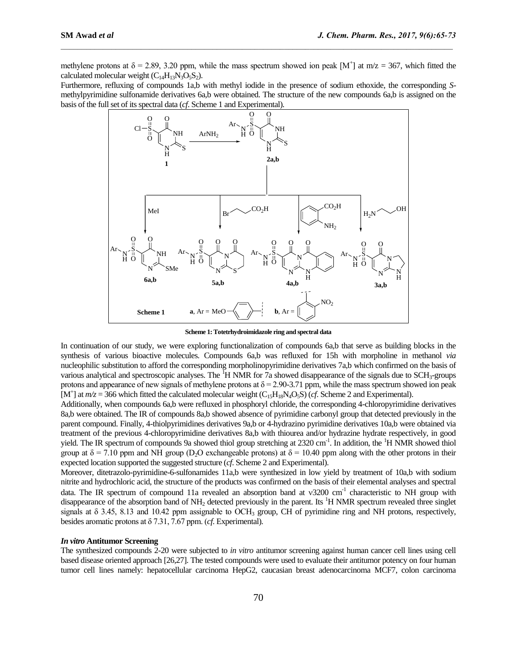methylene protons at  $\delta = 2.89, 3.20$  ppm, while the mass spectrum showed ion peak [M<sup>+</sup>] at m/z = 367, which fitted the calculated molecular weight  $(C_{14}H_{13}N_3O_5S_2)$ .

 $\mathcal{L}_\mathcal{L} = \mathcal{L}_\mathcal{L}$ 

Furthermore, refluxing of compounds 1a,b with methyl iodide in the presence of sodium ethoxide, the corresponding *S*methylpyrimidine sulfonamide derivatives 6a,b were obtained. The structure of the new compounds 6a,b is assigned on the basis of the full set of its spectral data (*cf*. Scheme 1 and Experimental).



**Scheme 1: Totetrhydroimidazole ring and spectral data**

In continuation of our study, we were exploring functionalization of compounds 6a,b that serve as building blocks in the synthesis of various bioactive molecules. Compounds 6a,b was refluxed for 15h with morpholine in methanol *via*  nucleophilic substitution to afford the corresponding morpholinopyrimidine derivatives 7a,b which confirmed on the basis of various analytical and spectroscopic analyses. The  ${}^{1}H$  NMR for 7a showed disappearance of the signals due to SCH<sub>3</sub>-groups protons and appearance of new signals of methylene protons at  $\delta = 2.90-3.71$  ppm, while the mass spectrum showed ion peak [M<sup>+</sup>] at  $m/z = 366$  which fitted the calculated molecular weight  $(C_{15}H_{18}N_4O_5S)$  (*cf.* Scheme 2 and Experimental).

Additionally, when compounds 6a,b were refluxed in phosphoryl chloride, the corresponding 4-chloropyrimidine derivatives 8a,b were obtained. The IR of compounds 8a,b showed absence of pyrimidine carbonyl group that detected previously in the parent compound. Finally, 4-thiolpyrimidines derivatives 9a,b or 4-hydrazino pyrimidine derivatives 10a,b were obtained via treatment of the previous 4-chloropyrimidine derivatives 8a,b with thiourea and/or hydrazine hydrate respectively, in good yield. The IR spectrum of compounds 9a showed thiol group stretching at 2320 cm<sup>-1</sup>. In addition, the <sup>1</sup>H NMR showed thiol group at  $\delta$  = 7.10 ppm and NH group (D<sub>2</sub>O exchangeable protons) at  $\delta$  = 10.40 ppm along with the other protons in their expected location supported the suggested structure (*cf*. Scheme 2 and Experimental).

Moreover, ditetrazolo-pyrimidine-6-sulfonamides 11a,b were synthesized in low yield by treatment of 10a,b with sodium nitrite and hydrochloric acid, the structure of the products was confirmed on the basis of their elemental analyses and spectral data. The IR spectrum of compound 11a revealed an absorption band at  $v3200$  cm<sup>-1</sup> characteristic to NH group with disappearance of the absorption band of  $NH_2$  detected previously in the parent. Its  $\rm{^{1}H}$  NMR spectrum revealed three singlet signals at  $\delta$  3.45, 8.13 and 10.42 ppm assignable to OCH<sub>3</sub> group, CH of pyrimidine ring and NH protons, respectively, besides aromatic protons at δ 7.31, 7.67 ppm. (*cf*. Experimental).

### *In vitro* **Antitumor Screening**

The synthesized compounds 2-20 were subjected to *in vitro* antitumor screening against human cancer cell lines using cell based disease oriented approach [26,27]. The tested compounds were used to evaluate their antitumor potency on four human tumor cell lines namely: hepatocellular carcinoma HepG2, caucasian breast adenocarcinoma MCF7, colon carcinoma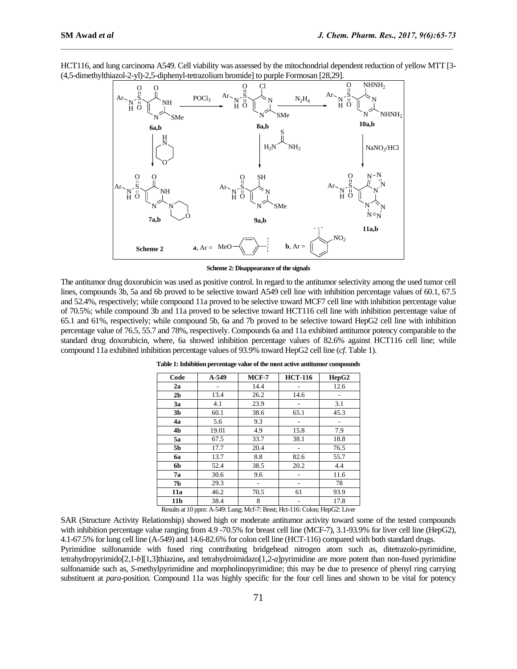

HCT116, and lung carcinoma A549. Cell viability was assessed by the mitochondrial dependent reduction of yellow MTT [3- (4,5-dimethylthiazol-2-yl)-2,5-diphenyl-tetrazolium bromide] to purple Formosan [28,29].

 $\mathcal{L}_\mathcal{L} = \mathcal{L}_\mathcal{L}$ 

**Scheme 2: Disappearance of the signals** 

The antitumor drug doxorubicin was used as positive control. In regard to the antitumor selectivity among the used tumor cell lines, compounds 3b, 5a and 6b proved to be selective toward A549 cell line with inhibition percentage values of 60.1, 67.5 and 52.4%, respectively; while compound 11a proved to be selective toward MCF7 cell line with inhibition percentage value of 70.5%; while compound 3b and 11a proved to be selective toward HCT116 cell line with inhibition percentage value of 65.1 and 61%, respectively; while compound 5b, 6a and 7b proved to be selective toward HepG2 cell line with inhibition percentage value of 76.5, 55.7 and 78%, respectively. Compounds 6a and 11a exhibited antitumor potency comparable to the standard drug doxorubicin, where, 6a showed inhibition percentage values of 82.6% against HCT116 cell line; while compound 11a exhibited inhibition percentage values of 93.9% toward HepG2 cell line (*cf*. Table 1).

| Code            | A-549 | $MCF-7$ | <b>HCT-116</b>                                                                               | HepG2 |
|-----------------|-------|---------|----------------------------------------------------------------------------------------------|-------|
| 2a              |       | 14.4    |                                                                                              | 12.6  |
| 2 <sub>b</sub>  | 13.4  | 26.2    | 14.6                                                                                         |       |
| 3a              | 4.1   | 23.9    |                                                                                              | 3.1   |
| 3 <sub>b</sub>  | 60.1  | 38.6    | 65.1                                                                                         | 45.3  |
| 4a              | 5.6   | 9.3     |                                                                                              |       |
| 4b              | 19.01 | 4.9     | 15.8                                                                                         | 7.9   |
| 5a              | 67.5  | 33.7    | 38.1                                                                                         | 18.8  |
| 5b              | 17.7  | 20.4    |                                                                                              | 76.5  |
| 6a              | 13.7  | 8.8     | 82.6                                                                                         | 55.7  |
| 6b              | 52.4  | 38.5    | 20.2                                                                                         | 4.4   |
| 7a              | 30.6  | 9.6     |                                                                                              | 11.6  |
| 7b              | 29.3  |         |                                                                                              | 78    |
| 11a             | 46.2  | 70.5    | 61                                                                                           | 93.9  |
| 11 <sub>b</sub> | 38.4  | 8       | Departs of 10 name $\Lambda$ , 540; Lynn, $\Lambda$ of 7; Depart Hot 116; Coloni HanC2; Lynn | 17.8  |

**Table 1: Inhibition percentage value of the most active antitumor compounds**

Results at 10 ppm: A-549: Lung; Mcf-7: Brest; Hct-116: Colon; HepG2: Liver

SAR (Structure Activity Relationship) showed high or moderate antitumor activity toward some of the tested compounds with inhibition percentage value ranging from 4.9 -70.5% for breast cell line (MCF-7), 3.1-93.9% for liver cell line (HepG2), 4.1-67.5% for lung cell line (A-549) and 14.6-82.6% for colon cell line (HCT-116) compared with both standard drugs. Pyrimidine sulfonamide with fused ring contributing bridgehead nitrogen atom such as, ditetrazolo-pyrimidine, tetrahydropyrimido[2,1-*b*][1,3]thiazine**,** and tetrahydroimidazo[1,2-*a*]pyrimidine are more potent than non-fused pyrimidine sulfonamide such as, *S*-methylpyrimidine and morpholinopyrimidine; this may be due to presence of phenyl ring carrying substituent at *para*-position. Compound 11a was highly specific for the four cell lines and shown to be vital for potency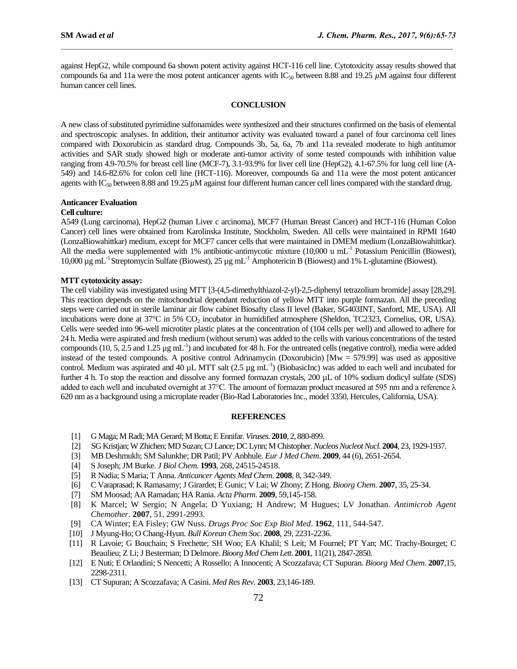against HepG2, while compound 6a shown potent activity against HCT-116 cell line. Cytotoxicity assay results showed that compounds 6a and 11a were the most potent anticancer agents with IC<sub>50</sub> between 8.88 and 19.25 *µM* against four different human cancer cell lines.

 $\mathcal{L}_\mathcal{L} = \mathcal{L}_\mathcal{L}$ 

### **CONCLUSION**

A new class of substituted pyrimidine sulfonamides were synthesized and their structures confirmed on the basis of elemental and spectroscopic analyses. In addition, their antitumor activity was evaluated toward a panel of four carcinoma cell lines compared with Doxorubicin as standard drug. Compounds 3b, 5a, 6a, 7b and 11a revealed moderate to high antitumor activities and SAR study showed high or moderate anti-tumor activity of some tested compounds with inhibition value ranging from 4.9-70.5% for breast cell line (MCF-7), 3.1-93.9% for liver cell line (HepG2), 4.1-67.5% for lung cell line (A-549) and 14.6-82.6% for colon cell line (HCT-116). Moreover, compounds 6a and 11a were the most potent anticancer agents with IC<sub>50</sub> between 8.88 and 19.25 *µM* against four different human cancer cell lines compared with the standard drug.

### **Anticancer Evaluation**

# **Cell culture:**

A549 (Lung carcinoma), HepG2 (human Liver c arcinoma), MCF7 (Human Breast Cancer) and HCT-116 (Human Colon Cancer) cell lines were obtained from Karolinska Institute, Stockholm, Sweden. All cells were maintained in RPMI 1640 (LonzaBiowahittkar) medium, except for MCF7 cancer cells that were maintained in DMEM medium (LonzaBiowahittkar). All the media were supplemented with 1% antibiotic-antimycotic mixture (10,000 u mL<sup>-1</sup> Potassium Penicillin (Biowest), 10,000 μg mL<sup>-1</sup> Streptomycin Sulfate (Biowest), 25 μg mL<sup>-1</sup> Amphotericin B (Biowest) and 1% L-glutamine (Biowest).

### **MTT cytotoxicity assay:**

The cell viability was investigated using MTT [3-(4,5-dimethylthiazol-2-yl)-2,5-diphenyl tetrazolium bromide] assay [28,29]. This reaction depends on the mitochondrial dependant reduction of yellow MTT into purple formazan. All the preceding steps were carried out in sterile laminar air flow cabinet Biosafty class II level (Baker, SG403INT, Sanford, ME, USA). All incubations were done at  $37^{\circ}$ C in 5% CO<sub>2</sub> incubator in humidified atmosphere (Sheldon, TC2323, Cornelius, OR, USA). Cells were seeded into 96-well microtiter plastic plates at the concentration of (104 cells per well) and allowed to adhere for 24 h. Media were aspirated and fresh medium (without serum) was added to the cells with various concentrations of the tested compounds (10, 5, 2.5 and 1.25  $\mu$ g mL<sup>-1</sup>) and incubated for 48 h. For the untreated cells (negative control), media were added instead of the tested compounds. A positive control Adrinamycin (Doxorubicin) [Mw = 579.99] was used as appositive control. Medium was aspirated and  $40 \mu L$  MTT salt (2.5  $\mu$ g mL<sup>-1</sup>) (BiobasicInc) was added to each well and incubated for further 4 h. To stop the reaction and dissolve any formed formazan crystals, 200 µL of 10% sodium dodicyl sulfate (SDS) added to each well and incubated overnight at 37°C. The amount of formazan product measured at 595 nm and a reference  $\lambda$ 620 nm as a background using a microplate reader (Bio-Rad Laboratories Inc., model 3350, Hercules, California, USA).

#### **REFERENCES**

- [1] G Maga; M Radi; MA Gerard; M Botta; E Ennifar. *Viruses*. **2010**, 2, 880-899.
- [2] SG Kristjan; W Zhichen; MD Suzan; CJ Lance; DC Lynn; M Chistopher. *Nucleos Nucleot Nucl*. **2004**, 23, 1929-1937.
- [3] MB Deshmukh; SM Salunkhe; DR Patil; PV Anbhule. *Eur J Med Chem*. **2009**, 44 (6), 2651-2654.
- [4] S Joseph; JM Burke. *J Biol Chem*. **1993**, 268, 24515-24518.
- [5] R Nadia; S Maria; T Anna. *Anticancer Agents Med Chem*. **2008**, 8, 342-349.
- [6] C Varaprasad; K Ramasamy; J Girardet; E Gunic; V Lai; W Zhony; Z Hong. *Bioorg Chem*. **2007**, 35, 25-34.
- [7] SM Moosad; AA Ramadan; HA Rania. *Acta Pharm*. **2009**, 59,145-158.
- [8] K Marcel; W Sergio; N Angela; D Yuxiang; H Andrew; M Hugues; LV Jonathan. *Antimicrob Agent Chemother*. **2007**, 51, 2991-2993.
- [9] CA Winter; EA Fisley; GW Nuss. *Drugs Proc Soc Exp Biol Med*. **1962**, 111, 544-547.
- [10] J Myung-Ho; O Chang-Hyun. *Bull Korean Chem Soc*. **2008**, 29, 2231-2236.
- [11] R Lavoie; G Bouchain; S Frechette; SH Woo; EA Khalil; S Leit; M Fournel; PT Yan; MC Trachy-Bourget; C Beaulieu; Z Li; J Besterman; D Delmore. *Bioorg Med Chem Lett*. **2001**, 11(21), 2847-2850.
- [12] E Nuti; E Orlandini; S Nencetti; A Rossello; A Innocenti; A Scozzafava; CT Supuran. *Bioorg Med Chem*. **2007**,15, 2298-2311.
- [13] CT Supuran; A Scozzafava; A Casini. *Med Res Rev*. **2003**, 23,146-189.